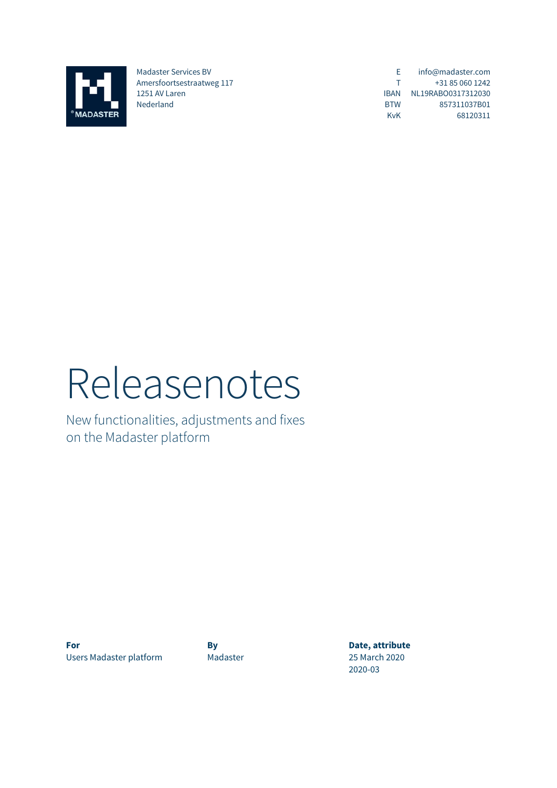

Madaster Services BV Amersfoortsestraatweg 117 1251 AV Laren Nederland

E T IBAN NL19RABO0317312030 BTW KvK info@madaster.com +31 85 060 1242 857311037B01 68120311

# Releasenotes

New functionalities, adjustments and fixes on the Madaster platform

**For By By Date, attribute** Users Madaster platform Madaster 25 March 2020

2020-03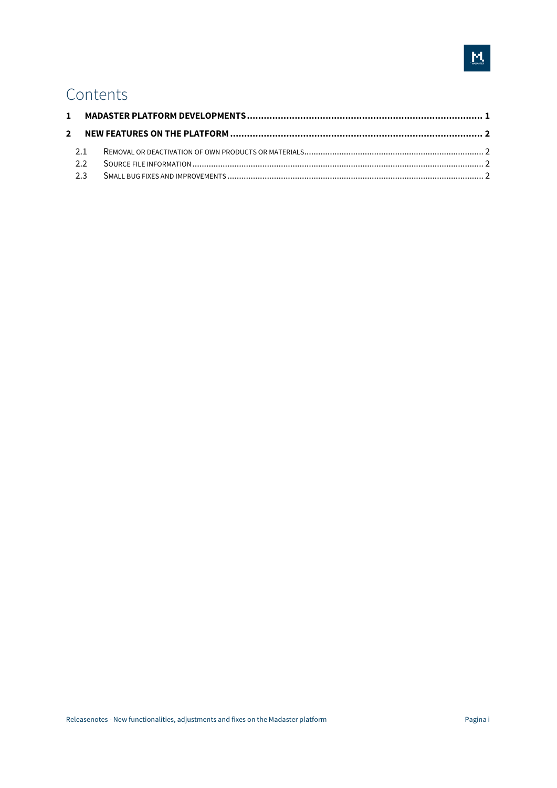## Contents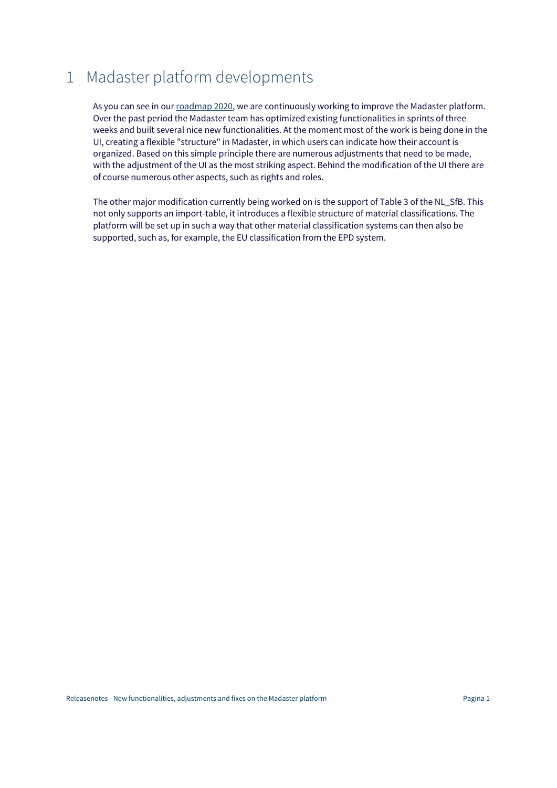## 1 Madaster platform developments

As you can see in our roadmap 2020, we are continuously working to improve the Madaster platform. Over the past period the Madaster team has optimized existing functionalities in sprints of three weeks and built several nice new functionalities. At the moment most of the work is being done in the UI, creating a flexible "structure" in Madaster, in which users can indicate how their account is organized. Based on this simple principle there are numerous adjustments that need to be made, with the adjustment of the UI as the most striking aspect. Behind the modification of the UI there are of course numerous other aspects, such as rights and roles.

The other major modification currently being worked on is the support of Table 3 of the NL\_SfB. This not only supports an import-table, it introduces a flexible structure of material classifications. The platform will be set up in such a way that other material classification systems can then also be supported, such as, for example, the EU classification from the EPD system.